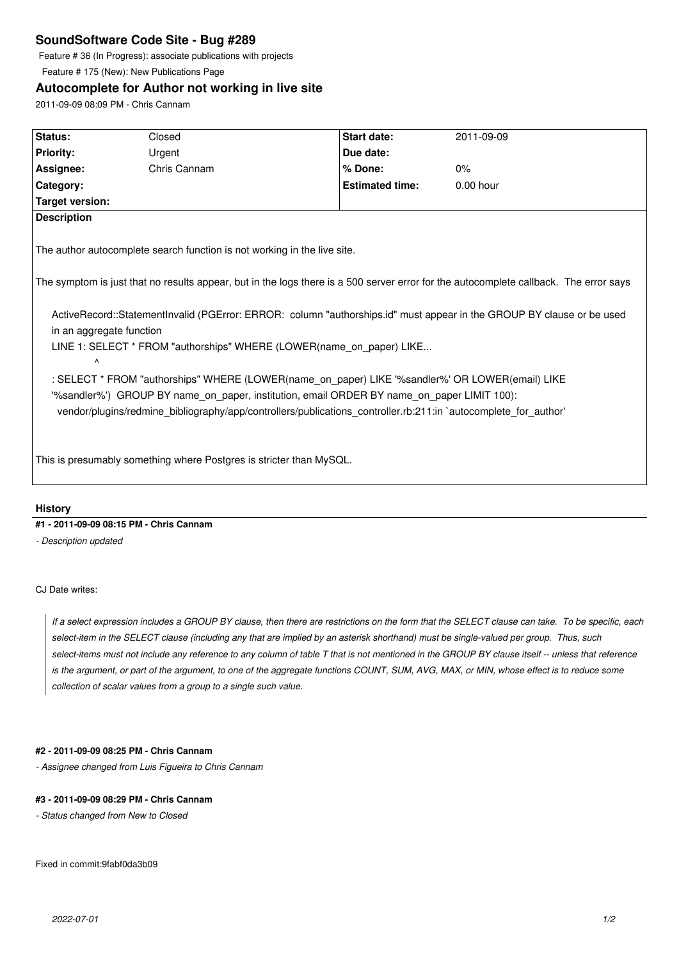# **SoundSoftware Code Site - Bug #289**

Feature # 36 (In Progress): associate publications with projects

Feature # 175 (New): New Publications Page

## **Autocomplete for Author not working in live site**

2011-09-09 08:09 PM - Chris Cannam

| Status:                                                                                                                                                                                                                                                                                                                                                                                                                                                                                                                                                                                                                                                                                                                                                                                                                                                | Closed       | <b>Start date:</b>     | 2011-09-09  |
|--------------------------------------------------------------------------------------------------------------------------------------------------------------------------------------------------------------------------------------------------------------------------------------------------------------------------------------------------------------------------------------------------------------------------------------------------------------------------------------------------------------------------------------------------------------------------------------------------------------------------------------------------------------------------------------------------------------------------------------------------------------------------------------------------------------------------------------------------------|--------------|------------------------|-------------|
| <b>Priority:</b>                                                                                                                                                                                                                                                                                                                                                                                                                                                                                                                                                                                                                                                                                                                                                                                                                                       | Urgent       | Due date:              |             |
| Assignee:                                                                                                                                                                                                                                                                                                                                                                                                                                                                                                                                                                                                                                                                                                                                                                                                                                              | Chris Cannam | % Done:                | 0%          |
| Category:                                                                                                                                                                                                                                                                                                                                                                                                                                                                                                                                                                                                                                                                                                                                                                                                                                              |              | <b>Estimated time:</b> | $0.00$ hour |
| Target version:                                                                                                                                                                                                                                                                                                                                                                                                                                                                                                                                                                                                                                                                                                                                                                                                                                        |              |                        |             |
| <b>Description</b>                                                                                                                                                                                                                                                                                                                                                                                                                                                                                                                                                                                                                                                                                                                                                                                                                                     |              |                        |             |
| The author autocomplete search function is not working in the live site.<br>The symptom is just that no results appear, but in the logs there is a 500 server error for the autocomplete callback. The error says<br>ActiveRecord::StatementInvalid (PGError: ERROR: column "authorships.id" must appear in the GROUP BY clause or be used<br>in an aggregate function<br>LINE 1: SELECT * FROM "authorships" WHERE (LOWER(name on paper) LIKE<br>$\Lambda$<br>: SELECT * FROM "authorships" WHERE (LOWER(name_on_paper) LIKE '%sandler%' OR LOWER(email) LIKE<br>"%sandler%") GROUP BY name_on_paper, institution, email ORDER BY name_on_paper LIMIT 100):<br>vendor/plugins/redmine_bibliography/app/controllers/publications_controller.rb:211:in `autocomplete_for_author'<br>This is presumably something where Postgres is stricter than MySQL. |              |                        |             |
|                                                                                                                                                                                                                                                                                                                                                                                                                                                                                                                                                                                                                                                                                                                                                                                                                                                        |              |                        |             |
|                                                                                                                                                                                                                                                                                                                                                                                                                                                                                                                                                                                                                                                                                                                                                                                                                                                        |              |                        |             |

## **History**

### **#1 - 2011-09-09 08:15 PM - Chris Cannam**

*- Description updated*

### CJ Date writes:

*If a select expression includes a GROUP BY clause, then there are restrictions on the form that the SELECT clause can take. To be specific, each select-item in the SELECT clause (including any that are implied by an asterisk shorthand) must be single-valued per group. Thus, such select-items must not include any reference to any column of table T that is not mentioned in the GROUP BY clause itself -- unless that reference is the argument, or part of the argument, to one of the aggregate functions COUNT, SUM, AVG, MAX, or MIN, whose effect is to reduce some collection of scalar values from a group to a single such value.*

#### **#2 - 2011-09-09 08:25 PM - Chris Cannam**

*- Assignee changed from Luis Figueira to Chris Cannam*

#### **#3 - 2011-09-09 08:29 PM - Chris Cannam**

*- Status changed from New to Closed*

Fixed in commit:9fabf0da3b09